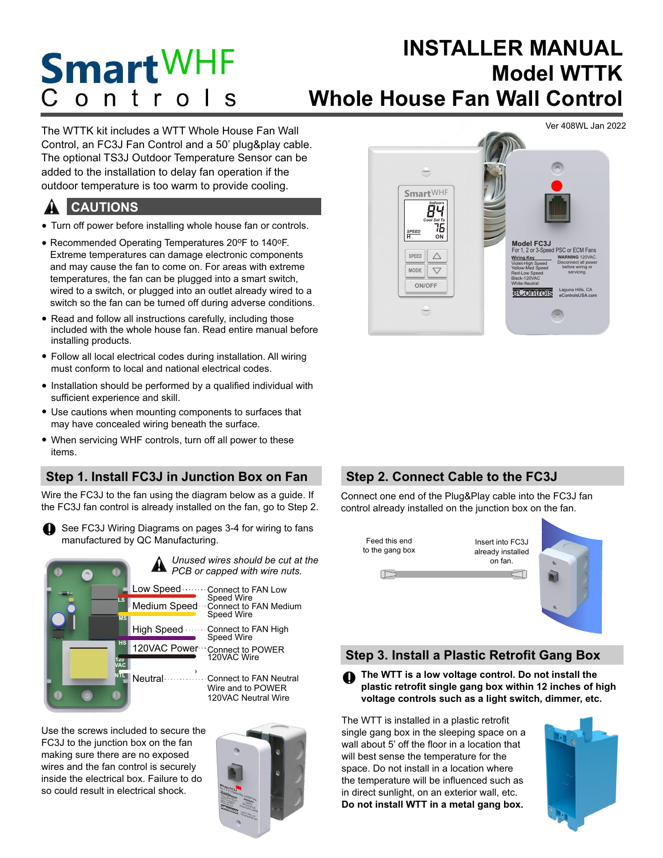## **INSTALLER MANUAL Smart**WHF **Model WTTK**  $C$  ontrol **Whole House Fan Wall Control**

The WTTK kit includes a WTT Whole House Fan Wall Control, an FC3J Fan Control and a 50' plug&play cable. The optional TS3J Outdoor Temperature Sensor can be added to the installation to delay fan operation if the outdoor temperature is too warm to provide cooling.

#### **CAUTIONS** !

- Turn off power before installing whole house fan or controls.
- Recommended Operating Temperatures 20°F to 140°F. Extreme temperatures can damage electronic components and may cause the fan to come on. For areas with extreme temperatures, the fan can be plugged into a smart switch, wired to a switch, or plugged into an outlet already wired to a switch so the fan can be turned off during adverse conditions.
- Read and follow all instructions carefully, including those included with the whole house fan. Read entire manual before installing products.
- Follow all local electrical codes during installation. All wiring must conform to local and national electrical codes.
- Installation should be performed by a qualified individual with sufficient experience and skill.
- Use cautions when mounting components to surfaces that may have concealed wiring beneath the surface.
- When servicing WHF controls, turn off all power to these items.

# **Step 1. Install FC3J in Junction Box on Fan**

Wire the FC3J to the fan using the diagram below as a guide. If the FC3J fan control is already installed on the fan, go to Step 2.

See FC3J Wiring Diagrams on pages 3-4 for wiring to fans **i** manufactured by QC Manufacturing.



Use the screws included to secure the FC3J to the junction box on the fan making sure there are no exposed wires and the fan control is securely inside the electrical box. Failure to do so could result in electrical shock.





# **Step 2. Connect Cable to the FC3J**

Connect one end of the Plug&Play cable into the FC3J fan control already installed on the junction box on the fan.



## **Step 3. Install a Plastic Retrofit Gang Box**

**1** The WTT is a low voltage control. Do not install the **plastic retrofit single gang box within 12 inches of high voltage controls such as a light switch, dimmer, etc. i**

The WTT is installed in a plastic retrofit single gang box in the sleeping space on a wall about 5' off the floor in a location that will best sense the temperature for the space. Do not install in a location where the temperature will be influenced such as in direct sunlight, on an exterior wall, etc. **Do not install WTT in a metal gang box.** 

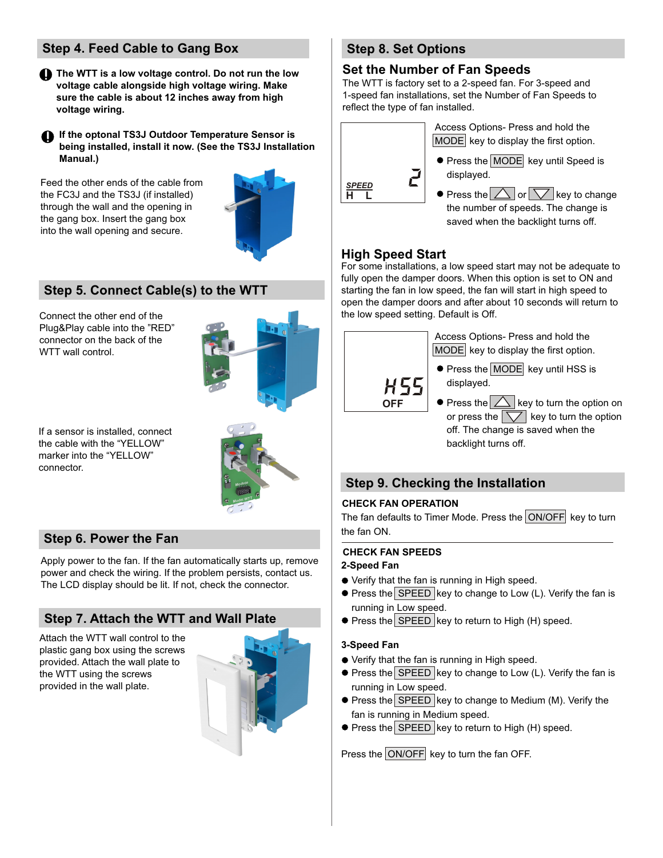# **Step 4. Feed Cable to Gang Box**

**1** The WTT is a low voltage control. Do not run the low **voltage cable alongside high voltage wiring. Make sure the cable is about 12 inches away from high voltage wiring. i**

**If the optonal TS3J Outdoor Temperature Sensor is i being installed, install it now. (See the TS3J Installation Manual.)** 

Feed the other ends of the cable from the FC3J and the TS3J (if installed) through the wall and the opening in the gang box. Insert the gang box into the wall opening and secure.



# **Step 5. Connect Cable(s) to the WTT**

Connect the other end of the Plug&Play cable into the "RED" connector on the back of the WTT wall control.



If a sensor is installed, connect the cable with the "YELLOW" marker into the "YELLOW" connector.



## **Step 6. Power the Fan**

Apply power to the fan. If the fan automatically starts up, remove power and check the wiring. If the problem persists, contact us. The LCD display should be lit. If not, check the connector.

### **Step 7. Attach the WTT and Wall Plate**

Attach the WTT wall control to the plastic gang box using the screws provided. Attach the wall plate to the WTT using the screws provided in the wall plate.



## **Step 8. Set Options**

#### **Set the Number of Fan Speeds**

The WTT is factory set to a 2-speed fan. For 3-speed and 1-speed fan installations, set the Number of Fan Speeds to reflect the type of fan installed.



### **High Speed Start**

For some installations, a low speed start may not be adequate to fully open the damper doors. When this option is set to ON and starting the fan in low speed, the fan will start in high speed to open the damper doors and after about 10 seconds will return to the low speed setting. Default is Off.



Access Options- Press and hold the  $MODE$  key to display the first option.

- **•** Press the **MODE** key until HSS is displayed.
- $\bullet$  Press the  $\triangle$  key to turn the option on or press the  $\sqrt{\sqrt{\ }}$  key to turn the option off. The change is saved when the backlight turns off.

### **Step 9. Checking the Installation**

#### **CHECK FAN OPERATION**

The fan defaults to Timer Mode. Press the  $ON/OFF$  key to turn the fan ON.

#### **CHECK FAN SPEEDS**

#### **2-Speed Fan**

- Verify that the fan is running in High speed.
- $\bullet$  Press the SPEED key to change to Low (L). Verify the fan is running in Low speed.
- $\bullet$  Press the SPEED key to return to High (H) speed.

#### **3-Speed Fan**

- Verify that the fan is running in High speed.
- $\bullet$  Press the SPEED key to change to Low (L). Verify the fan is running in Low speed.
- $\bullet$  Press the SPEED key to change to Medium (M). Verify the fan is running in Medium speed.
- $\bullet$  Press the SPEED key to return to High (H) speed.

Press the ON/OFF key to turn the fan OFF.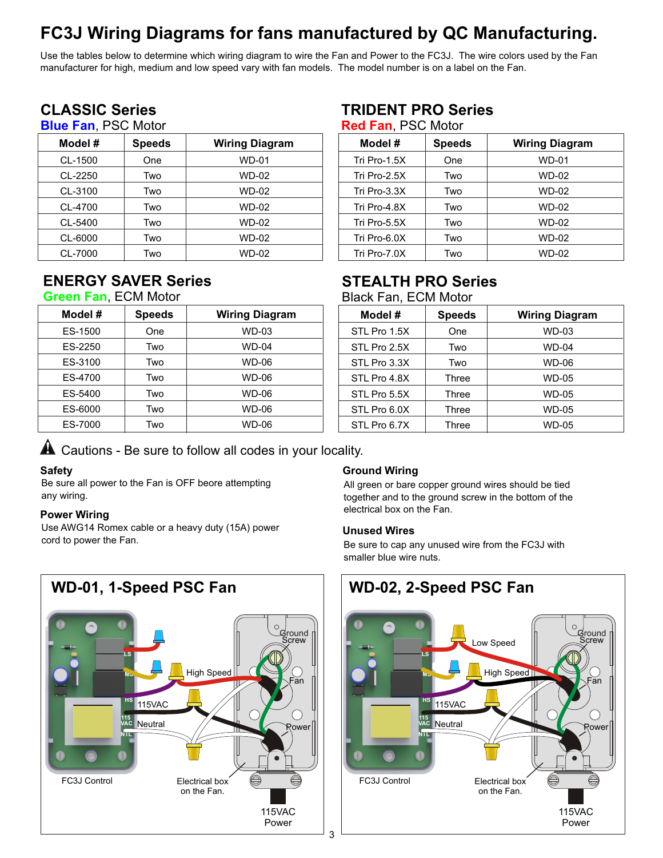# **FC3J Wiring Diagrams for fans manufactured by QC Manufacturing.**

Use the tables below to determine which wiring diagram to wire the Fan and Power to the FC3J. The wire colors used by the Fan manufacturer for high, medium and low speed vary with fan models. The model number is on a label on the Fan.

# **CLASSIC Series**

## **Blue Fan**, PSC Motor

| Model # | <b>Speeds</b> | <b>Wiring Diagram</b> |
|---------|---------------|-----------------------|
| CL-1500 | One           | <b>WD-01</b>          |
| CL-2250 | Two           | WD-02                 |
| CL-3100 | Two           | WD-02                 |
| CL-4700 | Two           | WD-02                 |
| CL-5400 | Two           | WD-02                 |
| CL-6000 | Two           | WD-02                 |
| CL-7000 | Two           | <b>WD-02</b>          |

# **ENERGY SAVER Series**

#### **Green Fan**, ECM Motor

| Model # | <b>Speeds</b> | <b>Wiring Diagram</b> |
|---------|---------------|-----------------------|
| ES-1500 | One           | <b>WD-03</b>          |
| ES-2250 | Two           | <b>WD-04</b>          |
| ES-3100 | Two           | WD-06                 |
| ES-4700 | Two           | WD-06                 |
| ES-5400 | Two           | WD-06                 |
| ES-6000 | Two           | WD-06                 |
| ES-7000 | Two           | WD-06                 |

# **TRIDENT PRO Series**

| <b>Red Fan, PSC Motor</b> |  |  |
|---------------------------|--|--|
|---------------------------|--|--|

| Model #      | <b>Speeds</b> | <b>Wiring Diagram</b> |
|--------------|---------------|-----------------------|
| Tri Pro-1.5X | One           | WD-01                 |
| Tri Pro-2.5X | Two           | WD-02                 |
| Tri Pro-3.3X | Two           | WD-02                 |
| Tri Pro-4.8X | Two           | WD-02                 |
| Tri Pro-5.5X | Two           | WD-02                 |
| Tri Pro-6.0X | Two           | WD-02                 |
| Tri Pro-7.0X | Two           | WD-02                 |

# **STEALTH PRO Series**

Black Fan, ECM Motor

| Model #      | <b>Speeds</b> | <b>Wiring Diagram</b> |
|--------------|---------------|-----------------------|
| STL Pro 1.5X | One           | WD-03                 |
| STL Pro 2.5X | Two           | WD-04                 |
| STL Pro 3.3X | Two           | WD-06                 |
| STL Pro 4.8X | Three         | WD-05                 |
| STL Pro 5.5X | Three         | WD-05                 |
| STL Pro 6.0X | Three         | WD-05                 |
| STL Pro 6.7X | Three         | WD-05                 |

## $\blacktriangle$  Cautions - Be sure to follow all codes in your locality.

#### **Safety**

Be sure all power to the Fan is OFF beore attempting any wiring.

#### **Power Wiring**

Use AWG14 Romex cable or a heavy duty (15A) power cord to power the Fan.

#### **Ground Wiring**

All green or bare copper ground wires should be tied together and to the ground screw in the bottom of the electrical box on the Fan.

#### **Unused Wires**

Be sure to cap any unused wire from the FC3J with smaller blue wire nuts.